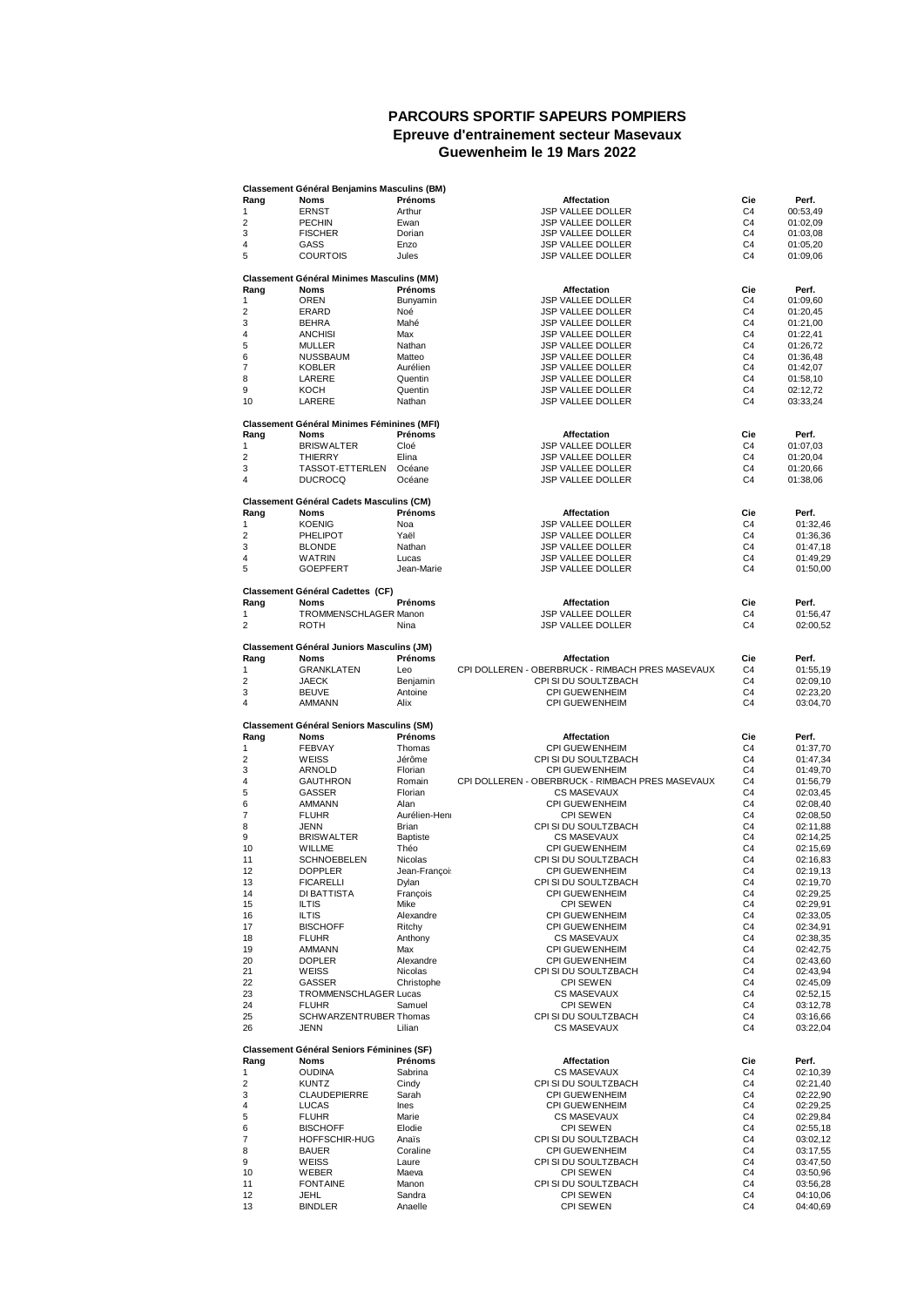## **PARCOURS SPORTIF SAPEURS POMPIERS Epreuve d'entrainement secteur Masevaux Guewenheim le 19 Mars 2022**

|                | <b>Classement Général Benjamins Masculins (BM)</b> |                 |                                                  |                |                      |
|----------------|----------------------------------------------------|-----------------|--------------------------------------------------|----------------|----------------------|
| Rang           | Noms                                               | Prénoms         | Affectation                                      | Cie            | Perf.                |
| 1              | <b>ERNST</b>                                       | Arthur          | JSP VALLEE DOLLER                                | C <sub>4</sub> | 00:53,49             |
| 2              | <b>PECHIN</b>                                      | Ewan            | JSP VALLEE DOLLER                                | C4             | 01:02,09             |
| 3              | <b>FISCHER</b>                                     | Dorian          | <b>JSP VALLEE DOLLER</b>                         | C <sub>4</sub> | 01:03,08             |
|                |                                                    |                 |                                                  |                |                      |
| 4              | GASS                                               | Enzo            | <b>JSP VALLEE DOLLER</b>                         | C4             | 01:05,20             |
| 5              | <b>COURTOIS</b>                                    | Jules           | <b>JSP VALLEE DOLLER</b>                         | C <sub>4</sub> | 01:09,06             |
|                |                                                    |                 |                                                  |                |                      |
|                | <b>Classement Général Minimes Masculins (MM)</b>   |                 |                                                  |                |                      |
| Rang           | Noms                                               | Prénoms         | Affectation                                      | Cie            | Perf.                |
| 1              | OREN                                               | Bunyamin        | <b>JSP VALLEE DOLLER</b>                         | C4             | 01:09,60             |
| 2              | ERARD                                              | Noé             | <b>JSP VALLEE DOLLER</b>                         | C4             | 01:20,45             |
| 3              | <b>BEHRA</b>                                       | Mahé            | <b>JSP VALLEE DOLLER</b>                         | C4             | 01:21,00             |
| 4              | <b>ANCHISI</b>                                     | Max             | JSP VALLEE DOLLER                                | C4             | 01:22,41             |
| 5              | <b>MULLER</b>                                      | Nathan          | <b>JSP VALLEE DOLLER</b>                         | C <sub>4</sub> | 01:26,72             |
| 6              | <b>NUSSBAUM</b>                                    | Matteo          | <b>JSP VALLEE DOLLER</b>                         | C4             | 01:36,48             |
|                |                                                    |                 |                                                  |                |                      |
| $\overline{7}$ | <b>KOBLER</b>                                      | Aurélien        | <b>JSP VALLEE DOLLER</b>                         | C4             | 01:42,07             |
| 8              | LARERE                                             | Quentin         | <b>JSP VALLEE DOLLER</b>                         | C4             | 01:58,10             |
| 9              | KOCH                                               | Quentin         | <b>JSP VALLEE DOLLER</b>                         | C4             | 02:12,72             |
| 10             | LARERE                                             | Nathan          | <b>JSP VALLEE DOLLER</b>                         | C <sub>4</sub> | 03:33,24             |
|                |                                                    |                 |                                                  |                |                      |
|                | <b>Classement Général Minimes Féminines (MFI)</b>  |                 |                                                  |                |                      |
| Rang           | <b>Noms</b>                                        | Prénoms         | Affectation                                      | Cie            | Perf.                |
| 1              | <b>BRISWALTER</b>                                  | Cloé            | JSP VALLEE DOLLER                                | C4             | 01:07,03             |
| 2              | <b>THIERRY</b>                                     | Elina           | <b>JSP VALLEE DOLLER</b>                         | C <sub>4</sub> | 01:20,04             |
| 3              | TASSOT-ETTERLEN                                    | Océane          | <b>JSP VALLEE DOLLER</b>                         | C4             | 01:20,66             |
| 4              | <b>DUCROCQ</b>                                     | Océane          | <b>JSP VALLEE DOLLER</b>                         | C4             | 01:38,06             |
|                |                                                    |                 |                                                  |                |                      |
|                | <b>Classement Général Cadets Masculins (CM)</b>    |                 |                                                  |                |                      |
| Rang           | Noms                                               | Prénoms         | Affectation                                      | Cie            | Perf.                |
| 1              | <b>KOENIG</b>                                      | Noa             | <b>JSP VALLEE DOLLER</b>                         | C4             | 01:32,46             |
| 2              | <b>PHELIPOT</b>                                    | Yaël            | <b>JSP VALLEE DOLLER</b>                         | C4             | 01:36,36             |
|                |                                                    |                 |                                                  |                |                      |
| 3              | <b>BLONDE</b>                                      | Nathan          | JSP VALLEE DOLLER                                | C <sub>4</sub> | 01:47,18             |
| 4              | WATRIN                                             | Lucas           | <b>JSP VALLEE DOLLER</b>                         | C <sub>4</sub> | 01:49,29             |
| 5              | <b>GOEPFERT</b>                                    | Jean-Marie      | <b>JSP VALLEE DOLLER</b>                         | C <sub>4</sub> | 01:50,00             |
|                |                                                    |                 |                                                  |                |                      |
|                | <b>Classement Général Cadettes (CF)</b>            |                 |                                                  |                |                      |
| Rang           | Noms                                               | Prénoms         | <b>Affectation</b>                               | Cie            | Perf.                |
| 1              | TROMMENSCHLAGER Manon                              |                 | JSP VALLEE DOLLER                                | C4             | 01:56,47             |
| $\overline{2}$ | <b>ROTH</b>                                        | Nina            | <b>JSP VALLEE DOLLER</b>                         | C <sub>4</sub> | 02:00,52             |
|                |                                                    |                 |                                                  |                |                      |
|                | <b>Classement Général Juniors Masculins (JM)</b>   |                 |                                                  |                |                      |
| Rang           | <b>Noms</b>                                        | Prénoms         | Affectation                                      | Cie            | Perf.                |
| 1              | <b>GRANKLATEN</b>                                  | Leo             | CPI DOLLEREN - OBERBRUCK - RIMBACH PRES MASEVAUX | C4             | 01:55,19             |
| 2              | <b>JAECK</b>                                       | Benjamin        | CPI SI DU SOULTZBACH                             | C <sub>4</sub> | 02:09,10             |
|                |                                                    |                 |                                                  |                |                      |
| 3              | <b>BEUVE</b>                                       | Antoine         | <b>CPI GUEWENHEIM</b>                            | C <sub>4</sub> | 02:23,20             |
| 4              | AMMANN                                             | Alix            | <b>CPI GUEWENHEIM</b>                            | C4             | 03:04,70             |
|                | <b>Classement Général Seniors Masculins (SM)</b>   |                 |                                                  |                |                      |
|                |                                                    |                 |                                                  |                |                      |
|                |                                                    |                 |                                                  |                |                      |
| Rang           | <b>Noms</b>                                        | Prénoms         | Affectation                                      | Cie            | Perf.                |
| 1              | <b>FEBVAY</b>                                      | Thomas          | <b>CPI GUEWENHEIM</b>                            | C <sub>4</sub> | 01:37,70             |
| 2              | WEISS                                              | Jérôme          | CPI SI DU SOULTZBACH                             | C4             | 01:47,34             |
| 3              | ARNOLD                                             | Florian         | <b>CPI GUEWENHEIM</b>                            | C4             | 01:49,70             |
| 4              |                                                    | Romain          |                                                  | C4             |                      |
|                | <b>GAUTHRON</b>                                    |                 | CPI DOLLEREN - OBERBRUCK - RIMBACH PRES MASEVAUX |                | 01:56,79             |
| 5              | GASSER                                             | Florian         | <b>CS MASEVAUX</b>                               | C <sub>4</sub> | 02:03,45             |
| 6              | <b>AMMANN</b>                                      | Alan            | <b>CPI GUEWENHEIM</b>                            | C <sub>4</sub> | 02:08,40             |
| $\overline{7}$ | <b>FLUHR</b>                                       | Aurélien-Heni   | <b>CPI SEWEN</b>                                 | C4             | 02:08,50             |
| 8              | JENN                                               | Brian           | CPI SI DU SOULTZBACH                             | C4             | 02:11,88             |
| 9              | <b>BRISWALTER</b>                                  | <b>Baptiste</b> | <b>CS MASEVAUX</b>                               | C4             | 02:14,25             |
| 10             | WILLME                                             | Théo            | <b>CPI GUEWENHEIM</b>                            | C4             | 02:15,69             |
| 11             | <b>SCHNOEBELEN</b>                                 | Nicolas         | CPI SI DU SOULTZBACH                             | C <sub>4</sub> | 02:16,83             |
| 12             | <b>DOPPLER</b>                                     |                 | <b>CPI GUEWENHEIM</b>                            | C <sub>4</sub> |                      |
|                |                                                    | Jean-Françoi:   |                                                  |                | 02:19,13             |
| 13             | <b>FICARELLI</b>                                   | Dylan           | CPI SI DU SOULTZBACH                             | C4             | 02:19,70             |
| 14             | DI BATTISTA                                        | François        | <b>CPI GUEWENHEIM</b>                            | C4             | 02:29,25             |
| 15             | <b>ILTIS</b>                                       | Mike            | <b>CPI SEWEN</b>                                 | C4             | 02:29,91             |
| 16             | <b>ILTIS</b>                                       | Alexandre       | <b>CPI GUEWENHEIM</b>                            | C4             | 02:33,05             |
| 17             | <b>BISCHOFF</b>                                    | Ritchy          | <b>CPI GUEWENHEIM</b>                            | C <sub>4</sub> | 02:34,91             |
| 18             | <b>FLUHR</b>                                       | Anthony         | <b>CS MASEVAUX</b>                               | C <sub>4</sub> | 02:38,35             |
| 19             | AMMANN                                             | Max             | CPI GUEWENHEIM                                   | C4             | 02:42,75             |
| 20             | <b>DOPLER</b>                                      | Alexandre       | <b>CPI GUEWENHEIM</b>                            | C4             | 02:43,60             |
| 21             | WEISS                                              | Nicolas         | CPI SI DU SOULTZBACH                             | C4             |                      |
|                |                                                    |                 |                                                  |                | 02:43,94             |
| 22             | GASSER                                             | Christophe      | <b>CPI SEWEN</b>                                 | C <sub>4</sub> | 02:45,09             |
| 23             | TROMMENSCHLAGER Lucas                              |                 | <b>CS MASEVAUX</b>                               | C4             | 02:52,15             |
| 24             | <b>FLUHR</b>                                       | Samuel          | <b>CPI SEWEN</b>                                 | C4             | 03:12,78             |
| 25             | SCHWARZENTRUBER Thomas                             |                 | CPI SI DU SOULTZBACH                             | C4             | 03:16,66             |
| 26             | <b>JENN</b>                                        | Lilian          | <b>CS MASEVAUX</b>                               | C4             | 03:22,04             |
|                |                                                    |                 |                                                  |                |                      |
|                | <b>Classement Général Seniors Féminines (SF)</b>   |                 |                                                  |                |                      |
| Rang           | Noms                                               | Prénoms         | Affectation                                      | Cie            | Perf.                |
| 1              | <b>OUDINA</b>                                      | Sabrina         | <b>CS MASEVAUX</b>                               | C4             | 02:10,39             |
| 2              | <b>KUNTZ</b>                                       | Cindy           | CPI SI DU SOULTZBACH                             | C4             | 02:21,40             |
| 3              | CLAUDEPIERRE                                       | Sarah           | <b>CPI GUEWENHEIM</b>                            | C <sub>4</sub> | 02:22,90             |
| 4              | LUCAS                                              | Ines            | <b>CPI GUEWENHEIM</b>                            | C4             | 02:29,25             |
| 5              | <b>FLUHR</b>                                       | Marie           | <b>CS MASEVAUX</b>                               | C <sub>4</sub> | 02:29,84             |
|                |                                                    |                 |                                                  |                |                      |
| 6              | <b>BISCHOFF</b>                                    | Elodie          | <b>CPI SEWEN</b>                                 | C4             | 02:55,18             |
| 7              | HOFFSCHIR-HUG                                      | Anaïs           | CPI SI DU SOULTZBACH                             | C4             | 03:02,12             |
| 8              | <b>BAUER</b>                                       | Coraline        | <b>CPI GUEWENHEIM</b>                            | C <sub>4</sub> | 03:17,55             |
| 9              | WEISS                                              | Laure           | CPI SI DU SOULTZBACH                             | C4             | 03:47,50             |
| 10             | WEBER                                              | Maeva           | <b>CPI SEWEN</b>                                 | C4             | 03:50,96             |
| 11             | <b>FONTAINE</b>                                    | Manon           | CPI SI DU SOULTZBACH                             | C4             | 03:56,28             |
| 12             |                                                    | Sandra          |                                                  | C4             |                      |
| 13             | JEHL<br><b>BINDLER</b>                             | Anaelle         | <b>CPI SEWEN</b><br><b>CPI SEWEN</b>             | C <sub>4</sub> | 04:10,06<br>04:40,69 |